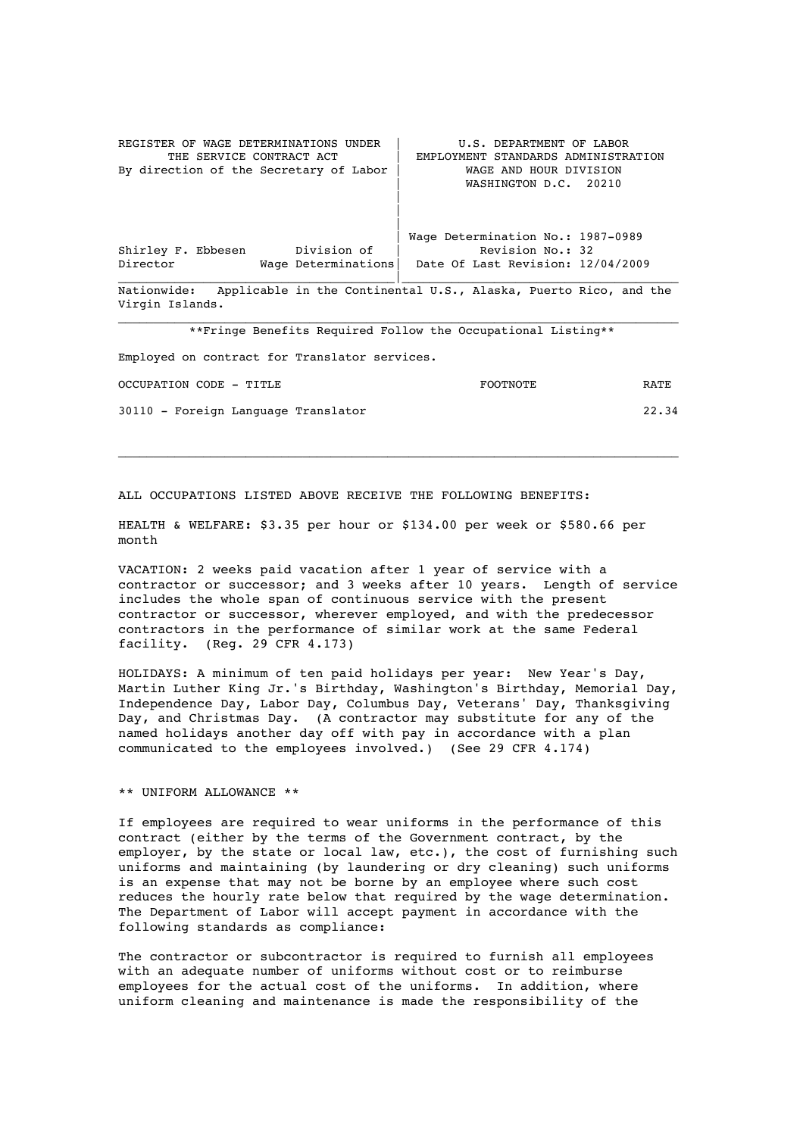REGISTER OF WAGE DETERMINATIONS UNDER | U.S. DEPARTMENT OF LABOR<br>THE SERVICE CONTRACT ACT | EMPLOYMENT STANDARDS ADMINISTR EMPLOYMENT STANDARDS ADMINISTRATION<br>WAGE AND HOUR DIVISION By direction of the Secretary of Labor  $|$ WASHINGTON D.C. 20210 | | | Wage Determination No.: 1987-0989 Shirley F. Ebbesen Division of | Revision No.: 32 Director Wage Determinations| Date Of Last Revision: 12/04/2009 \_\_\_\_\_\_\_\_\_\_\_\_\_\_\_\_\_\_\_\_\_\_\_\_\_\_\_\_\_\_\_\_\_\_\_\_\_\_\_|\_\_\_\_\_\_\_\_\_\_\_\_\_\_\_\_\_\_\_\_\_\_\_\_\_\_\_\_\_\_\_\_\_\_\_\_\_\_\_ Nationwide: Applicable in the Continental U.S., Alaska, Puerto Rico, and the Virgin Islands. \_\_\_\_\_\_\_\_\_\_\_\_\_\_\_\_\_\_\_\_\_\_\_\_\_\_\_\_\_\_\_\_\_\_\_\_\_\_\_\_\_\_\_\_\_\_\_\_\_\_\_\_\_\_\_\_\_\_\_\_\_\_\_\_\_\_\_\_\_\_\_\_\_\_\_\_\_\_\_ \*\*Fringe Benefits Required Follow the Occupational Listing\*\* Employed on contract for Translator services.

| OCCUPATION CODE - TITLE             | FOOTNOTE | RATE  |
|-------------------------------------|----------|-------|
| 30110 - Foreign Language Translator |          | 22.34 |

\_\_\_\_\_\_\_\_\_\_\_\_\_\_\_\_\_\_\_\_\_\_\_\_\_\_\_\_\_\_\_\_\_\_\_\_\_\_\_\_\_\_\_\_\_\_\_\_\_\_\_\_\_\_\_\_\_\_\_\_\_\_\_\_\_\_\_\_\_\_\_\_\_\_\_\_\_\_\_

ALL OCCUPATIONS LISTED ABOVE RECEIVE THE FOLLOWING BENEFITS:

HEALTH & WELFARE: \$3.35 per hour or \$134.00 per week or \$580.66 per month

VACATION: 2 weeks paid vacation after 1 year of service with a contractor or successor; and 3 weeks after 10 years. Length of service includes the whole span of continuous service with the present contractor or successor, wherever employed, and with the predecessor contractors in the performance of similar work at the same Federal facility. (Reg. 29 CFR 4.173)

HOLIDAYS: A minimum of ten paid holidays per year: New Year's Day, Martin Luther King Jr.'s Birthday, Washington's Birthday, Memorial Day, Independence Day, Labor Day, Columbus Day, Veterans' Day, Thanksgiving Day, and Christmas Day. (A contractor may substitute for any of the named holidays another day off with pay in accordance with a plan communicated to the employees involved.) (See 29 CFR 4.174)

## \*\* UNIFORM ALLOWANCE \*\*

If employees are required to wear uniforms in the performance of this contract (either by the terms of the Government contract, by the employer, by the state or local law, etc.), the cost of furnishing such uniforms and maintaining (by laundering or dry cleaning) such uniforms is an expense that may not be borne by an employee where such cost reduces the hourly rate below that required by the wage determination. The Department of Labor will accept payment in accordance with the following standards as compliance:

The contractor or subcontractor is required to furnish all employees with an adequate number of uniforms without cost or to reimburse employees for the actual cost of the uniforms. In addition, where uniform cleaning and maintenance is made the responsibility of the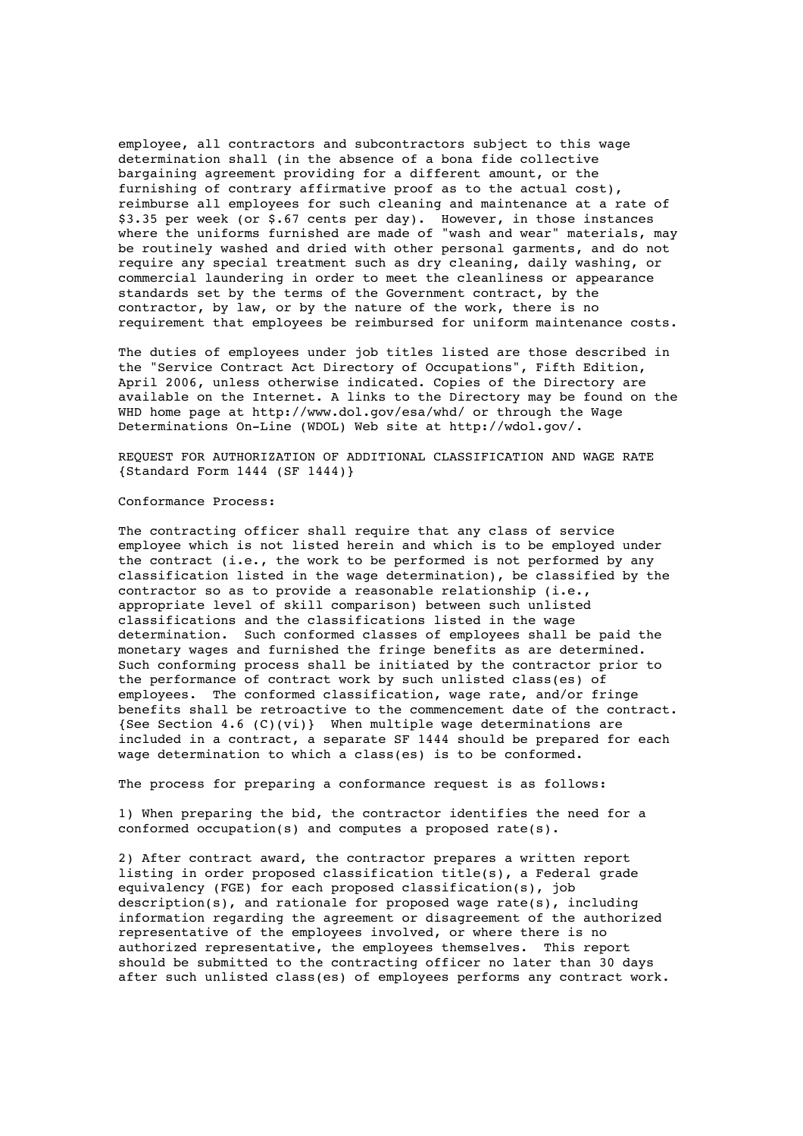employee, all contractors and subcontractors subject to this wage determination shall (in the absence of a bona fide collective bargaining agreement providing for a different amount, or the furnishing of contrary affirmative proof as to the actual cost), reimburse all employees for such cleaning and maintenance at a rate of \$3.35 per week (or \$.67 cents per day). However, in those instances where the uniforms furnished are made of "wash and wear" materials, may be routinely washed and dried with other personal garments, and do not require any special treatment such as dry cleaning, daily washing, or commercial laundering in order to meet the cleanliness or appearance standards set by the terms of the Government contract, by the contractor, by law, or by the nature of the work, there is no requirement that employees be reimbursed for uniform maintenance costs.

The duties of employees under job titles listed are those described in the "Service Contract Act Directory of Occupations", Fifth Edition, April 2006, unless otherwise indicated. Copies of the Directory are available on the Internet. A links to the Directory may be found on the WHD home page at http://www.dol.gov/esa/whd/ or through the Wage Determinations On-Line (WDOL) Web site at http://wdol.gov/.

REQUEST FOR AUTHORIZATION OF ADDITIONAL CLASSIFICATION AND WAGE RATE {Standard Form 1444 (SF 1444)}

## Conformance Process:

The contracting officer shall require that any class of service employee which is not listed herein and which is to be employed under the contract (i.e., the work to be performed is not performed by any classification listed in the wage determination), be classified by the contractor so as to provide a reasonable relationship (i.e., appropriate level of skill comparison) between such unlisted classifications and the classifications listed in the wage determination. Such conformed classes of employees shall be paid the monetary wages and furnished the fringe benefits as are determined. Such conforming process shall be initiated by the contractor prior to the performance of contract work by such unlisted class(es) of employees. The conformed classification, wage rate, and/or fringe benefits shall be retroactive to the commencement date of the contract. {See Section 4.6 (C)(vi)} When multiple wage determinations are included in a contract, a separate SF 1444 should be prepared for each wage determination to which a class(es) is to be conformed.

The process for preparing a conformance request is as follows:

1) When preparing the bid, the contractor identifies the need for a conformed occupation(s) and computes a proposed rate(s).

2) After contract award, the contractor prepares a written report listing in order proposed classification title(s), a Federal grade equivalency (FGE) for each proposed classification(s), job description(s), and rationale for proposed wage rate(s), including information regarding the agreement or disagreement of the authorized representative of the employees involved, or where there is no authorized representative, the employees themselves. This report should be submitted to the contracting officer no later than 30 days after such unlisted class(es) of employees performs any contract work.